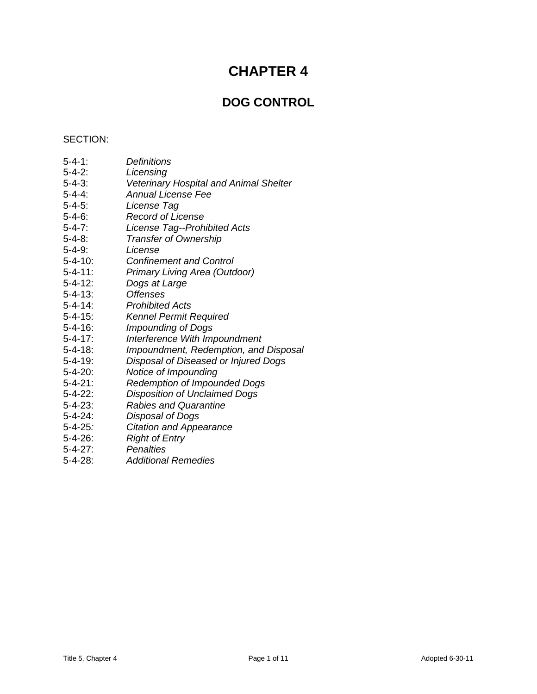# **CHAPTER 4**

## **DOG CONTROL**

### SECTION:

- 5-4-1: *Definitions*
- 5-4-2: *Licensing*
- 5-4-3: *Veterinary Hospital and Animal Shelter*
- 5-4-4: *Annual License Fee*
- 5-4-5: *License Tag*
- 5-4-6: *Record of License*
- 5-4-7: *License Tag--Prohibited Acts*
- 5-4-8: *Transfer of Ownership*
- 
- 5-4-9: *License* 5-4-10: *Confinement and Control*
- 5-4-11: *Primary Living Area (Outdoor)*
- 5-4-12: *Dogs at Large*
- 5-4-13: *Offenses*
- 5-4-14: *Prohibited Acts*
- 5-4-15: *Kennel Permit Required*
- 5-4-16: *Impounding of Dogs*
- 5-4-17: *Interference With Impoundment*
- 5-4-18: *Impoundment, Redemption, and Disposal*
- 5-4-19: *Disposal of Diseased or Injured Dogs*
- 5-4-20: *Notice of Impounding*
- 5-4-21: *Redemption of Impounded Dogs*
- 5-4-22: *Disposition of Unclaimed Dogs*
- 5-4-23: *Rabies and Quarantine*
- 5-4-24: *Disposal of Dogs*
- 5-4-25*: Citation and Appearance*
- 5-4-26: *Right of Entry*
- 5-4-27: *Penalties*
- 5-4-28: *Additional Remedies*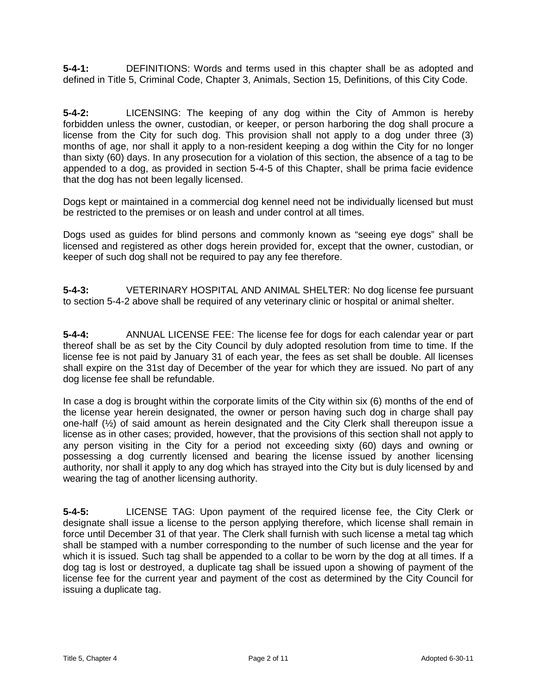**5-4-1:** DEFINITIONS: Words and terms used in this chapter shall be as adopted and defined in Title 5, Criminal Code, Chapter 3, Animals, Section 15, Definitions, of this City Code.

**5-4-2:** LICENSING: The keeping of any dog within the City of Ammon is hereby forbidden unless the owner, custodian, or keeper, or person harboring the dog shall procure a license from the City for such dog. This provision shall not apply to a dog under three (3) months of age, nor shall it apply to a non-resident keeping a dog within the City for no longer than sixty (60) days. In any prosecution for a violation of this section, the absence of a tag to be appended to a dog, as provided in section 5-4-5 of this Chapter, shall be prima facie evidence that the dog has not been legally licensed.

Dogs kept or maintained in a commercial dog kennel need not be individually licensed but must be restricted to the premises or on leash and under control at all times.

Dogs used as guides for blind persons and commonly known as "seeing eye dogs" shall be licensed and registered as other dogs herein provided for, except that the owner, custodian, or keeper of such dog shall not be required to pay any fee therefore.

**5-4-3:** VETERINARY HOSPITAL AND ANIMAL SHELTER: No dog license fee pursuant to section 5-4-2 above shall be required of any veterinary clinic or hospital or animal shelter.

**5-4-4:** ANNUAL LICENSE FEE: The license fee for dogs for each calendar year or part thereof shall be as set by the City Council by duly adopted resolution from time to time. If the license fee is not paid by January 31 of each year, the fees as set shall be double. All licenses shall expire on the 31st day of December of the year for which they are issued. No part of any dog license fee shall be refundable.

In case a dog is brought within the corporate limits of the City within six (6) months of the end of the license year herein designated, the owner or person having such dog in charge shall pay one-half (½) of said amount as herein designated and the City Clerk shall thereupon issue a license as in other cases; provided, however, that the provisions of this section shall not apply to any person visiting in the City for a period not exceeding sixty (60) days and owning or possessing a dog currently licensed and bearing the license issued by another licensing authority, nor shall it apply to any dog which has strayed into the City but is duly licensed by and wearing the tag of another licensing authority.

**5-4-5:** LICENSE TAG: Upon payment of the required license fee, the City Clerk or designate shall issue a license to the person applying therefore, which license shall remain in force until December 31 of that year. The Clerk shall furnish with such license a metal tag which shall be stamped with a number corresponding to the number of such license and the year for which it is issued. Such tag shall be appended to a collar to be worn by the dog at all times. If a dog tag is lost or destroyed, a duplicate tag shall be issued upon a showing of payment of the license fee for the current year and payment of the cost as determined by the City Council for issuing a duplicate tag.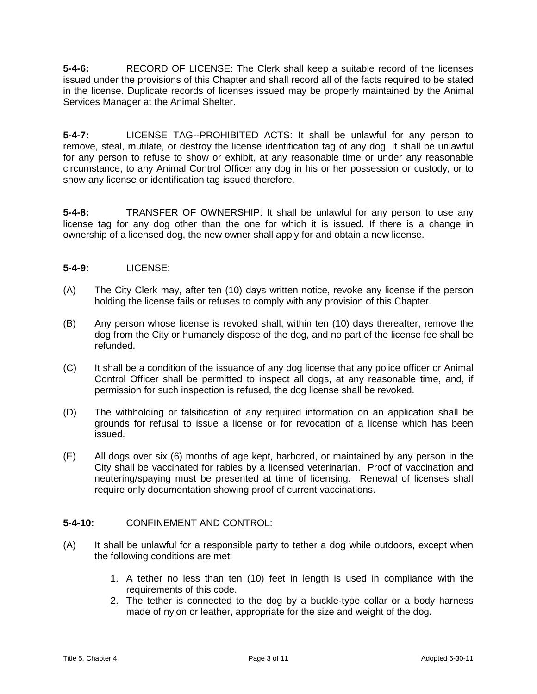**5-4-6:** RECORD OF LICENSE: The Clerk shall keep a suitable record of the licenses issued under the provisions of this Chapter and shall record all of the facts required to be stated in the license. Duplicate records of licenses issued may be properly maintained by the Animal Services Manager at the Animal Shelter.

**5-4-7:** LICENSE TAG--PROHIBITED ACTS: It shall be unlawful for any person to remove, steal, mutilate, or destroy the license identification tag of any dog. It shall be unlawful for any person to refuse to show or exhibit, at any reasonable time or under any reasonable circumstance, to any Animal Control Officer any dog in his or her possession or custody, or to show any license or identification tag issued therefore.

**5-4-8:** TRANSFER OF OWNERSHIP: It shall be unlawful for any person to use any license tag for any dog other than the one for which it is issued. If there is a change in ownership of a licensed dog, the new owner shall apply for and obtain a new license.

## **5-4-9:** LICENSE:

- (A) The City Clerk may, after ten (10) days written notice, revoke any license if the person holding the license fails or refuses to comply with any provision of this Chapter.
- (B) Any person whose license is revoked shall, within ten (10) days thereafter, remove the dog from the City or humanely dispose of the dog, and no part of the license fee shall be refunded.
- (C) It shall be a condition of the issuance of any dog license that any police officer or Animal Control Officer shall be permitted to inspect all dogs, at any reasonable time, and, if permission for such inspection is refused, the dog license shall be revoked.
- (D) The withholding or falsification of any required information on an application shall be grounds for refusal to issue a license or for revocation of a license which has been issued.
- (E) All dogs over six (6) months of age kept, harbored, or maintained by any person in the City shall be vaccinated for rabies by a licensed veterinarian. Proof of vaccination and neutering/spaying must be presented at time of licensing. Renewal of licenses shall require only documentation showing proof of current vaccinations.

## **5-4-10:** CONFINEMENT AND CONTROL:

- (A) It shall be unlawful for a responsible party to tether a dog while outdoors, except when the following conditions are met:
	- 1. A tether no less than ten (10) feet in length is used in compliance with the requirements of this code.
	- 2. The tether is connected to the dog by a buckle-type collar or a body harness made of nylon or leather, appropriate for the size and weight of the dog.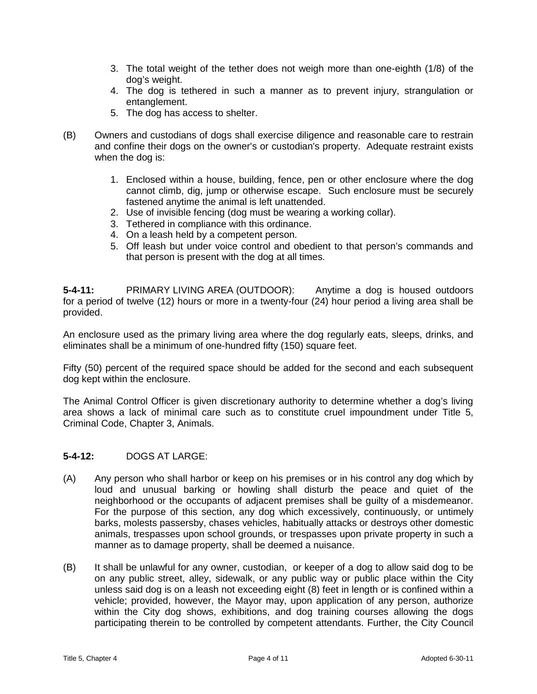- 3. The total weight of the tether does not weigh more than one-eighth (1/8) of the dog's weight.
- 4. The dog is tethered in such a manner as to prevent injury, strangulation or entanglement.
- 5. The dog has access to shelter.
- (B) Owners and custodians of dogs shall exercise diligence and reasonable care to restrain and confine their dogs on the owner's or custodian's property. Adequate restraint exists when the dog is:
	- 1. Enclosed within a house, building, fence, pen or other enclosure where the dog cannot climb, dig, jump or otherwise escape. Such enclosure must be securely fastened anytime the animal is left unattended.
	- 2. Use of invisible fencing (dog must be wearing a working collar).
	- 3. Tethered in compliance with this ordinance.
	- 4. On a leash held by a competent person.
	- 5. Off leash but under voice control and obedient to that person's commands and that person is present with the dog at all times.

**5-4-11:** PRIMARY LIVING AREA (OUTDOOR): Anytime a dog is housed outdoors for a period of twelve (12) hours or more in a twenty-four (24) hour period a living area shall be provided.

An enclosure used as the primary living area where the dog regularly eats, sleeps, drinks, and eliminates shall be a minimum of one-hundred fifty (150) square feet.

Fifty (50) percent of the required space should be added for the second and each subsequent dog kept within the enclosure.

The Animal Control Officer is given discretionary authority to determine whether a dog's living area shows a lack of minimal care such as to constitute cruel impoundment under Title 5, Criminal Code, Chapter 3, Animals.

#### **5-4-12:** DOGS AT LARGE:

- (A) Any person who shall harbor or keep on his premises or in his control any dog which by loud and unusual barking or howling shall disturb the peace and quiet of the neighborhood or the occupants of adjacent premises shall be guilty of a misdemeanor. For the purpose of this section, any dog which excessively, continuously, or untimely barks, molests passersby, chases vehicles, habitually attacks or destroys other domestic animals, trespasses upon school grounds, or trespasses upon private property in such a manner as to damage property, shall be deemed a nuisance.
- (B) It shall be unlawful for any owner, custodian, or keeper of a dog to allow said dog to be on any public street, alley, sidewalk, or any public way or public place within the City unless said dog is on a leash not exceeding eight (8) feet in length or is confined within a vehicle; provided, however, the Mayor may, upon application of any person, authorize within the City dog shows, exhibitions, and dog training courses allowing the dogs participating therein to be controlled by competent attendants. Further, the City Council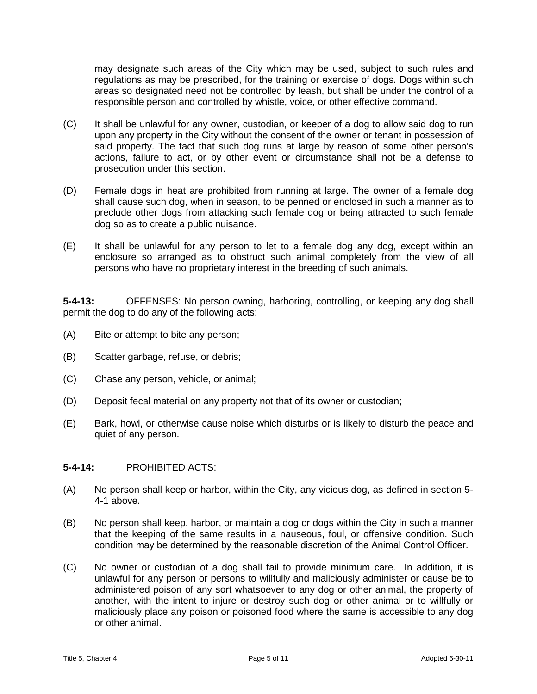may designate such areas of the City which may be used, subject to such rules and regulations as may be prescribed, for the training or exercise of dogs. Dogs within such areas so designated need not be controlled by leash, but shall be under the control of a responsible person and controlled by whistle, voice, or other effective command.

- (C) It shall be unlawful for any owner, custodian, or keeper of a dog to allow said dog to run upon any property in the City without the consent of the owner or tenant in possession of said property. The fact that such dog runs at large by reason of some other person's actions, failure to act, or by other event or circumstance shall not be a defense to prosecution under this section.
- (D) Female dogs in heat are prohibited from running at large. The owner of a female dog shall cause such dog, when in season, to be penned or enclosed in such a manner as to preclude other dogs from attacking such female dog or being attracted to such female dog so as to create a public nuisance.
- (E) It shall be unlawful for any person to let to a female dog any dog, except within an enclosure so arranged as to obstruct such animal completely from the view of all persons who have no proprietary interest in the breeding of such animals.

**5-4-13:** OFFENSES: No person owning, harboring, controlling, or keeping any dog shall permit the dog to do any of the following acts:

- (A) Bite or attempt to bite any person;
- (B) Scatter garbage, refuse, or debris;
- (C) Chase any person, vehicle, or animal;
- (D) Deposit fecal material on any property not that of its owner or custodian;
- (E) Bark, howl, or otherwise cause noise which disturbs or is likely to disturb the peace and quiet of any person.

#### **5-4-14:** PROHIBITED ACTS:

- (A) No person shall keep or harbor, within the City, any vicious dog, as defined in section 5- 4-1 above.
- (B) No person shall keep, harbor, or maintain a dog or dogs within the City in such a manner that the keeping of the same results in a nauseous, foul, or offensive condition. Such condition may be determined by the reasonable discretion of the Animal Control Officer.
- (C) No owner or custodian of a dog shall fail to provide minimum care. In addition, it is unlawful for any person or persons to willfully and maliciously administer or cause be to administered poison of any sort whatsoever to any dog or other animal, the property of another, with the intent to injure or destroy such dog or other animal or to willfully or maliciously place any poison or poisoned food where the same is accessible to any dog or other animal.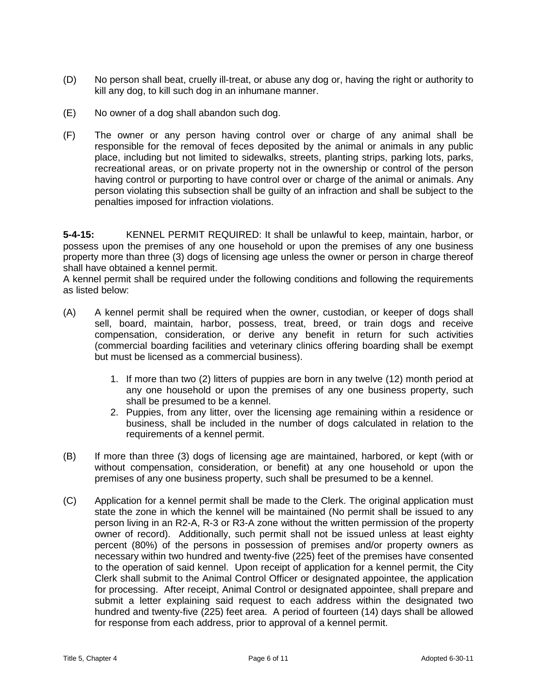- (D) No person shall beat, cruelly ill-treat, or abuse any dog or, having the right or authority to kill any dog, to kill such dog in an inhumane manner.
- (E) No owner of a dog shall abandon such dog.
- (F) The owner or any person having control over or charge of any animal shall be responsible for the removal of feces deposited by the animal or animals in any public place, including but not limited to sidewalks, streets, planting strips, parking lots, parks, recreational areas, or on private property not in the ownership or control of the person having control or purporting to have control over or charge of the animal or animals. Any person violating this subsection shall be guilty of an infraction and shall be subject to the penalties imposed for infraction violations.

**5-4-15:** KENNEL PERMIT REQUIRED: It shall be unlawful to keep, maintain, harbor, or possess upon the premises of any one household or upon the premises of any one business property more than three (3) dogs of licensing age unless the owner or person in charge thereof shall have obtained a kennel permit.

A kennel permit shall be required under the following conditions and following the requirements as listed below:

- (A) A kennel permit shall be required when the owner, custodian, or keeper of dogs shall sell, board, maintain, harbor, possess, treat, breed, or train dogs and receive compensation, consideration, or derive any benefit in return for such activities (commercial boarding facilities and veterinary clinics offering boarding shall be exempt but must be licensed as a commercial business).
	- 1. If more than two (2) litters of puppies are born in any twelve (12) month period at any one household or upon the premises of any one business property, such shall be presumed to be a kennel.
	- 2. Puppies, from any litter, over the licensing age remaining within a residence or business, shall be included in the number of dogs calculated in relation to the requirements of a kennel permit.
- (B) If more than three (3) dogs of licensing age are maintained, harbored, or kept (with or without compensation, consideration, or benefit) at any one household or upon the premises of any one business property, such shall be presumed to be a kennel.
- (C) Application for a kennel permit shall be made to the Clerk. The original application must state the zone in which the kennel will be maintained (No permit shall be issued to any person living in an R2-A, R-3 or R3-A zone without the written permission of the property owner of record). Additionally, such permit shall not be issued unless at least eighty percent (80%) of the persons in possession of premises and/or property owners as necessary within two hundred and twenty-five (225) feet of the premises have consented to the operation of said kennel. Upon receipt of application for a kennel permit, the City Clerk shall submit to the Animal Control Officer or designated appointee, the application for processing. After receipt, Animal Control or designated appointee, shall prepare and submit a letter explaining said request to each address within the designated two hundred and twenty-five (225) feet area. A period of fourteen (14) days shall be allowed for response from each address, prior to approval of a kennel permit.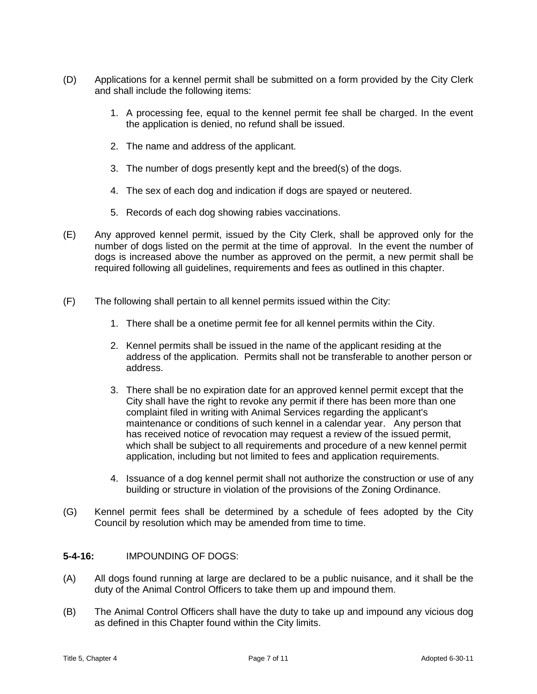- (D) Applications for a kennel permit shall be submitted on a form provided by the City Clerk and shall include the following items:
	- 1. A processing fee, equal to the kennel permit fee shall be charged. In the event the application is denied, no refund shall be issued.
	- 2. The name and address of the applicant.
	- 3. The number of dogs presently kept and the breed(s) of the dogs.
	- 4. The sex of each dog and indication if dogs are spayed or neutered.
	- 5. Records of each dog showing rabies vaccinations.
- (E) Any approved kennel permit, issued by the City Clerk, shall be approved only for the number of dogs listed on the permit at the time of approval. In the event the number of dogs is increased above the number as approved on the permit, a new permit shall be required following all guidelines, requirements and fees as outlined in this chapter.
- (F) The following shall pertain to all kennel permits issued within the City:
	- 1. There shall be a onetime permit fee for all kennel permits within the City.
	- 2. Kennel permits shall be issued in the name of the applicant residing at the address of the application. Permits shall not be transferable to another person or address.
	- 3. There shall be no expiration date for an approved kennel permit except that the City shall have the right to revoke any permit if there has been more than one complaint filed in writing with Animal Services regarding the applicant's maintenance or conditions of such kennel in a calendar year. Any person that has received notice of revocation may request a review of the issued permit, which shall be subject to all requirements and procedure of a new kennel permit application, including but not limited to fees and application requirements.
	- 4. Issuance of a dog kennel permit shall not authorize the construction or use of any building or structure in violation of the provisions of the Zoning Ordinance.
- (G) Kennel permit fees shall be determined by a schedule of fees adopted by the City Council by resolution which may be amended from time to time.

#### **5-4-16:** IMPOUNDING OF DOGS:

- (A) All dogs found running at large are declared to be a public nuisance, and it shall be the duty of the Animal Control Officers to take them up and impound them.
- (B) The Animal Control Officers shall have the duty to take up and impound any vicious dog as defined in this Chapter found within the City limits.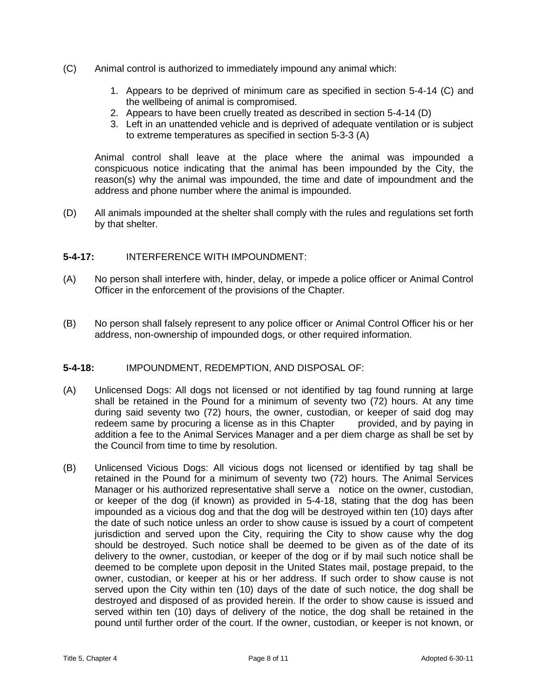- (C) Animal control is authorized to immediately impound any animal which:
	- 1. Appears to be deprived of minimum care as specified in section 5-4-14 (C) and the wellbeing of animal is compromised.
	- 2. Appears to have been cruelly treated as described in section 5-4-14 (D)
	- 3. Left in an unattended vehicle and is deprived of adequate ventilation or is subject to extreme temperatures as specified in section 5-3-3 (A)

Animal control shall leave at the place where the animal was impounded a conspicuous notice indicating that the animal has been impounded by the City, the reason(s) why the animal was impounded, the time and date of impoundment and the address and phone number where the animal is impounded.

(D) All animals impounded at the shelter shall comply with the rules and regulations set forth by that shelter.

#### **5-4-17:** INTERFERENCE WITH IMPOUNDMENT:

- (A) No person shall interfere with, hinder, delay, or impede a police officer or Animal Control Officer in the enforcement of the provisions of the Chapter.
- (B) No person shall falsely represent to any police officer or Animal Control Officer his or her address, non-ownership of impounded dogs, or other required information.

## **5-4-18:** IMPOUNDMENT, REDEMPTION, AND DISPOSAL OF:

- (A) Unlicensed Dogs: All dogs not licensed or not identified by tag found running at large shall be retained in the Pound for a minimum of seventy two (72) hours. At any time during said seventy two (72) hours, the owner, custodian, or keeper of said dog may redeem same by procuring a license as in this Chapter provided, and by paying in addition a fee to the Animal Services Manager and a per diem charge as shall be set by the Council from time to time by resolution.
- (B) Unlicensed Vicious Dogs: All vicious dogs not licensed or identified by tag shall be retained in the Pound for a minimum of seventy two (72) hours. The Animal Services Manager or his authorized representative shall serve a notice on the owner, custodian, or keeper of the dog (if known) as provided in 5-4-18, stating that the dog has been impounded as a vicious dog and that the dog will be destroyed within ten (10) days after the date of such notice unless an order to show cause is issued by a court of competent jurisdiction and served upon the City, requiring the City to show cause why the dog should be destroyed. Such notice shall be deemed to be given as of the date of its delivery to the owner, custodian, or keeper of the dog or if by mail such notice shall be deemed to be complete upon deposit in the United States mail, postage prepaid, to the owner, custodian, or keeper at his or her address. If such order to show cause is not served upon the City within ten (10) days of the date of such notice, the dog shall be destroyed and disposed of as provided herein. If the order to show cause is issued and served within ten (10) days of delivery of the notice, the dog shall be retained in the pound until further order of the court. If the owner, custodian, or keeper is not known, or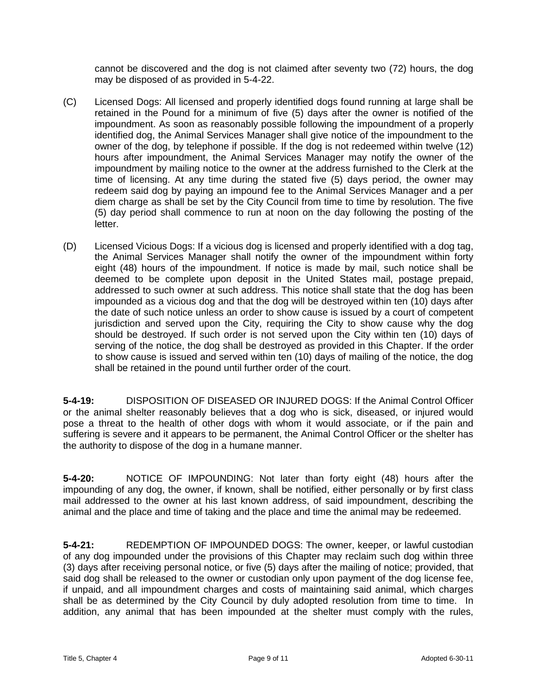cannot be discovered and the dog is not claimed after seventy two (72) hours, the dog may be disposed of as provided in 5-4-22.

- (C) Licensed Dogs: All licensed and properly identified dogs found running at large shall be retained in the Pound for a minimum of five (5) days after the owner is notified of the impoundment. As soon as reasonably possible following the impoundment of a properly identified dog, the Animal Services Manager shall give notice of the impoundment to the owner of the dog, by telephone if possible. If the dog is not redeemed within twelve (12) hours after impoundment, the Animal Services Manager may notify the owner of the impoundment by mailing notice to the owner at the address furnished to the Clerk at the time of licensing. At any time during the stated five (5) days period, the owner may redeem said dog by paying an impound fee to the Animal Services Manager and a per diem charge as shall be set by the City Council from time to time by resolution. The five (5) day period shall commence to run at noon on the day following the posting of the letter.
- (D) Licensed Vicious Dogs: If a vicious dog is licensed and properly identified with a dog tag, the Animal Services Manager shall notify the owner of the impoundment within forty eight (48) hours of the impoundment. If notice is made by mail, such notice shall be deemed to be complete upon deposit in the United States mail, postage prepaid, addressed to such owner at such address. This notice shall state that the dog has been impounded as a vicious dog and that the dog will be destroyed within ten (10) days after the date of such notice unless an order to show cause is issued by a court of competent jurisdiction and served upon the City, requiring the City to show cause why the dog should be destroyed. If such order is not served upon the City within ten (10) days of serving of the notice, the dog shall be destroyed as provided in this Chapter. If the order to show cause is issued and served within ten (10) days of mailing of the notice, the dog shall be retained in the pound until further order of the court.

**5-4-19:** DISPOSITION OF DISEASED OR INJURED DOGS: If the Animal Control Officer or the animal shelter reasonably believes that a dog who is sick, diseased, or injured would pose a threat to the health of other dogs with whom it would associate, or if the pain and suffering is severe and it appears to be permanent, the Animal Control Officer or the shelter has the authority to dispose of the dog in a humane manner.

**5-4-20:** NOTICE OF IMPOUNDING: Not later than forty eight (48) hours after the impounding of any dog, the owner, if known, shall be notified, either personally or by first class mail addressed to the owner at his last known address, of said impoundment, describing the animal and the place and time of taking and the place and time the animal may be redeemed.

**5-4-21:** REDEMPTION OF IMPOUNDED DOGS: The owner, keeper, or lawful custodian of any dog impounded under the provisions of this Chapter may reclaim such dog within three (3) days after receiving personal notice, or five (5) days after the mailing of notice; provided, that said dog shall be released to the owner or custodian only upon payment of the dog license fee, if unpaid, and all impoundment charges and costs of maintaining said animal, which charges shall be as determined by the City Council by duly adopted resolution from time to time. In addition, any animal that has been impounded at the shelter must comply with the rules,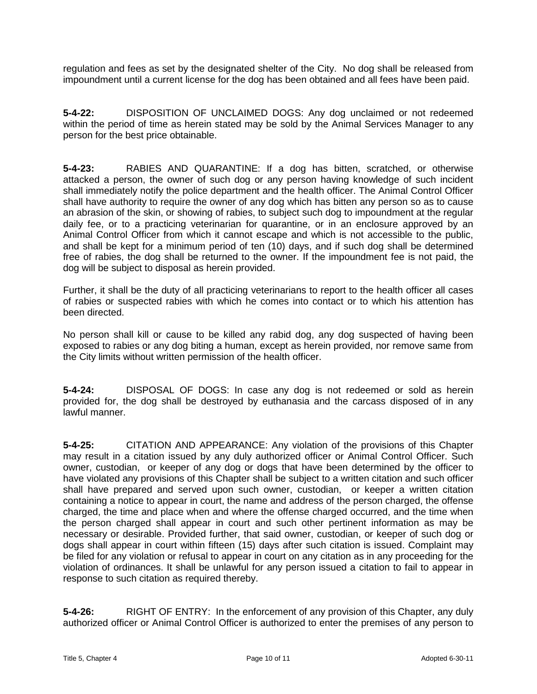regulation and fees as set by the designated shelter of the City. No dog shall be released from impoundment until a current license for the dog has been obtained and all fees have been paid.

**5-4-22:** DISPOSITION OF UNCLAIMED DOGS: Any dog unclaimed or not redeemed within the period of time as herein stated may be sold by the Animal Services Manager to any person for the best price obtainable.

**5-4-23:** RABIES AND QUARANTINE: If a dog has bitten, scratched, or otherwise attacked a person, the owner of such dog or any person having knowledge of such incident shall immediately notify the police department and the health officer. The Animal Control Officer shall have authority to require the owner of any dog which has bitten any person so as to cause an abrasion of the skin, or showing of rabies, to subject such dog to impoundment at the regular daily fee, or to a practicing veterinarian for quarantine, or in an enclosure approved by an Animal Control Officer from which it cannot escape and which is not accessible to the public, and shall be kept for a minimum period of ten (10) days, and if such dog shall be determined free of rabies, the dog shall be returned to the owner. If the impoundment fee is not paid, the dog will be subject to disposal as herein provided.

Further, it shall be the duty of all practicing veterinarians to report to the health officer all cases of rabies or suspected rabies with which he comes into contact or to which his attention has been directed.

No person shall kill or cause to be killed any rabid dog, any dog suspected of having been exposed to rabies or any dog biting a human, except as herein provided, nor remove same from the City limits without written permission of the health officer.

**5-4-24:** DISPOSAL OF DOGS: In case any dog is not redeemed or sold as herein provided for, the dog shall be destroyed by euthanasia and the carcass disposed of in any lawful manner.

**5-4-25:** CITATION AND APPEARANCE: Any violation of the provisions of this Chapter may result in a citation issued by any duly authorized officer or Animal Control Officer. Such owner, custodian, or keeper of any dog or dogs that have been determined by the officer to have violated any provisions of this Chapter shall be subject to a written citation and such officer shall have prepared and served upon such owner, custodian, or keeper a written citation containing a notice to appear in court, the name and address of the person charged, the offense charged, the time and place when and where the offense charged occurred, and the time when the person charged shall appear in court and such other pertinent information as may be necessary or desirable. Provided further, that said owner, custodian, or keeper of such dog or dogs shall appear in court within fifteen (15) days after such citation is issued. Complaint may be filed for any violation or refusal to appear in court on any citation as in any proceeding for the violation of ordinances. It shall be unlawful for any person issued a citation to fail to appear in response to such citation as required thereby.

**5-4-26:** RIGHT OF ENTRY: In the enforcement of any provision of this Chapter, any duly authorized officer or Animal Control Officer is authorized to enter the premises of any person to